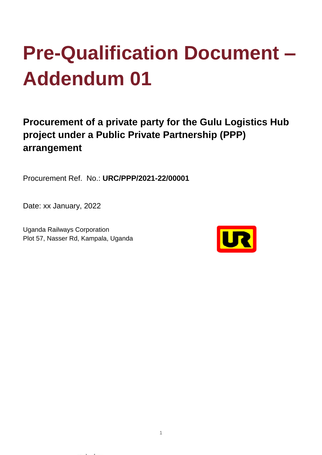## **Pre-Qualification Document – Addendum 01**

## **Procurement of a private party for the Gulu Logistics Hub project under a Public Private Partnership (PPP) arrangement**

Procurement Ref. No.: **URC/PPP/2021-22/00001**

Date: xx January, 2022

Uganda Railways Corporation Plot 57, Nasser Rd, Kampala, Uganda

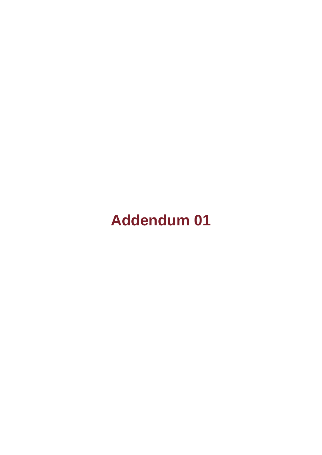## **Addendum 01**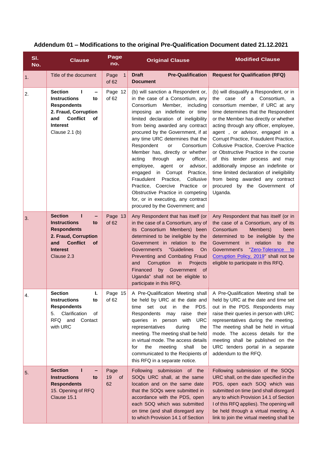## **Addendum 01 – Modifications to the original Pre-Qualification Document dated 21.12.2021**

| SI.<br>No. | <b>Clause</b>                                                                                                                                                       | Page<br>no.                   | <b>Original Clause</b>                                                                                                                                                                                                                                                                                                                                                                                                                                                                                                                                                                                                                                                             | <b>Modified Clause</b>                                                                                                                                                                                                                                                                                                                                                                                                                                                                                                                                                                                      |
|------------|---------------------------------------------------------------------------------------------------------------------------------------------------------------------|-------------------------------|------------------------------------------------------------------------------------------------------------------------------------------------------------------------------------------------------------------------------------------------------------------------------------------------------------------------------------------------------------------------------------------------------------------------------------------------------------------------------------------------------------------------------------------------------------------------------------------------------------------------------------------------------------------------------------|-------------------------------------------------------------------------------------------------------------------------------------------------------------------------------------------------------------------------------------------------------------------------------------------------------------------------------------------------------------------------------------------------------------------------------------------------------------------------------------------------------------------------------------------------------------------------------------------------------------|
| 1.         | Title of the document                                                                                                                                               | Page<br>$\mathbf{1}$<br>of 62 | <b>Draft</b><br><b>Pre-Qualification</b><br><b>Document</b>                                                                                                                                                                                                                                                                                                                                                                                                                                                                                                                                                                                                                        | <b>Request for Qualification (RFQ)</b>                                                                                                                                                                                                                                                                                                                                                                                                                                                                                                                                                                      |
| 2.         | <b>Section</b><br>L<br><b>Instructions</b><br>to<br><b>Respondents</b><br>2. Fraud, Corruption<br><b>Conflict</b><br>and<br>of<br><b>Interest</b><br>Clause 2.1 (b) | Page 12<br>of 62              | (b) will sanction a Respondent or,<br>in the case of a Consortium, any<br>Consortium<br>Member,<br>including<br>imposing an indefinite or time<br>limited declaration of ineligibility<br>from being awarded any contract<br>procured by the Government, if at<br>any time URC determines that the<br>Respondent<br>Consortium<br>or<br>Member has, directly or whether<br>acting<br>through<br>officer,<br>any<br>advisor,<br>employee,<br>agent<br>or<br>engaged in Corrupt<br>Practice,<br>Fraudulent<br>Practice,<br>Collusive<br>Practice, Coercive Practice or<br>Obstructive Practice in competing<br>for, or in executing, any contract<br>procured by the Government; and | (b) will disqualify a Respondent, or in<br>case of a Consortium, a<br>the<br>consortium member, if URC at any<br>time determines that the Respondent<br>or the Member has directly or whether<br>acting through any officer, employee,<br>agent, or advisor, engaged in a<br>Corrupt Practice, Fraudulent Practice,<br>Collusive Practice, Coercive Practice<br>or Obstructive Practice in the course<br>of this tender process and may<br>additionally impose an indefinite or<br>time limited declaration of ineligibility<br>from being awarded any contract<br>procured by the Government of<br>Uganda. |
| 3.         | т<br><b>Section</b><br><b>Instructions</b><br>to<br><b>Respondents</b><br>2. Fraud, Corruption<br><b>Conflict</b><br>and<br>οf<br><b>Interest</b><br>Clause 2.3     | Page 13<br>of 62              | Any Respondent that has itself (or<br>in the case of a Consortium, any of<br>its Consortium Members) been<br>determined to be ineligible by the<br>Government in relation to the<br>Government's<br>"Guidelines<br><b>On</b><br>Preventing and Combating Fraud<br>Corruption<br>in<br>Projects<br>and<br>Financed<br>by Government<br>of<br>Uganda" shall not be eligible to<br>participate in this RFQ.                                                                                                                                                                                                                                                                           | Any Respondent that has itself (or in<br>the case of a Consortium, any of its<br>Consortium<br>Members)<br>been<br>determined to be ineligible by the<br>Government in relation<br>the<br>to<br>Government's "Zero-Tolerance<br>to:<br>Corruption Policy, 2019" shall not be<br>eligible to participate in this RFQ.                                                                                                                                                                                                                                                                                        |
| 4.         | Section<br><b>Instructions</b><br>to<br><b>Respondents</b><br>5. Clarification<br>οf<br>RFQ and Contact<br>with URC                                                 | Page $15$<br>of $62$          | be held by URC at the date and<br>time set out in<br>the<br>PDS.<br>Respondents may<br>raise<br>their<br>queries in person with<br><b>URC</b><br>representatives<br>during<br>the<br>meeting. The meeting shall be held<br>in virtual mode. The access details<br>the<br>meeting<br>shall<br>for<br>be<br>communicated to the Recipients of<br>this RFQ in a separate notice.                                                                                                                                                                                                                                                                                                      | A Pre-Qualification Meeting shall   A Pre-Qualification Meeting shall be<br>held by URC at the date and time set<br>out in the PDS. Respondents may<br>raise their queries in person with URC<br>representatives during the meeting.<br>The meeting shall be held in virtual<br>mode. The access details for the<br>meeting shall be published on the<br>URC tenders portal in a separate<br>addendum to the RFQ.                                                                                                                                                                                           |
| 5.         | <b>Section</b><br>н<br><b>Instructions</b><br>to<br><b>Respondents</b><br>15. Opening of RFQ<br>Clause 15.1                                                         | Page<br>19<br>of<br>62        | Following submission of the<br>SOQs URC shall, at the same<br>location and on the same date<br>that the SOQs were submitted in<br>accordance with the PDS, open<br>each SOQ which was submitted<br>on time (and shall disregard any<br>to which Provision 14.1 of Section                                                                                                                                                                                                                                                                                                                                                                                                          | Following submission of the SOQs<br>URC shall, on the date specified in the<br>PDS, open each SOQ which was<br>submitted on time (and shall disregard<br>any to which Provision 14.1 of Section<br>I of this RFQ applies). The opening will<br>be held through a virtual meeting. A<br>link to join the virtual meeting shall be                                                                                                                                                                                                                                                                            |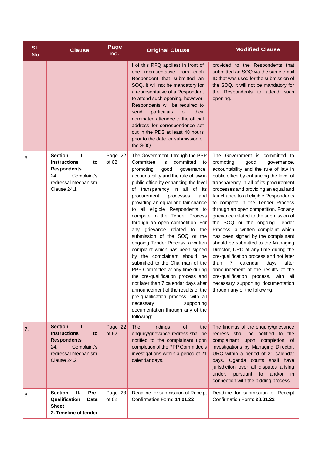| SI.<br>No. | <b>Clause</b>                                                                                                                      | Page<br>no.      | <b>Original Clause</b>                                                                                                                                                                                                                                                                                                                                                                                                                                                                                                                                                                                                                                                                                                                                                                                                                                                                              | <b>Modified Clause</b>                                                                                                                                                                                                                                                                                                                                                                                                                                                                                                                                                                                                                                                                                                                                                                                                                                      |
|------------|------------------------------------------------------------------------------------------------------------------------------------|------------------|-----------------------------------------------------------------------------------------------------------------------------------------------------------------------------------------------------------------------------------------------------------------------------------------------------------------------------------------------------------------------------------------------------------------------------------------------------------------------------------------------------------------------------------------------------------------------------------------------------------------------------------------------------------------------------------------------------------------------------------------------------------------------------------------------------------------------------------------------------------------------------------------------------|-------------------------------------------------------------------------------------------------------------------------------------------------------------------------------------------------------------------------------------------------------------------------------------------------------------------------------------------------------------------------------------------------------------------------------------------------------------------------------------------------------------------------------------------------------------------------------------------------------------------------------------------------------------------------------------------------------------------------------------------------------------------------------------------------------------------------------------------------------------|
|            |                                                                                                                                    |                  | I of this RFQ applies) in front of<br>one representative from each<br>Respondent that submitted an<br>SOQ. It will not be mandatory for<br>a representative of a Respondent<br>to attend such opening, however,<br>Respondents will be required to<br>send<br>particulars<br>οf<br>their<br>nominated attendee to the official<br>address for correspondence set<br>out in the PDS at least 48 hours<br>prior to the date for submission of<br>the SOQ.                                                                                                                                                                                                                                                                                                                                                                                                                                             | provided to the Respondents that<br>submitted an SOQ via the same email<br>ID that was used for the submission of<br>the SOQ. It will not be mandatory for<br>the Respondents to attend such<br>opening.                                                                                                                                                                                                                                                                                                                                                                                                                                                                                                                                                                                                                                                    |
| 6.         | <b>Section</b><br>Т<br><b>Instructions</b><br>to<br><b>Respondents</b><br>24.<br>Complaint's<br>redressal mechanism<br>Clause 24.1 | Page 22<br>of 62 | The Government, through the PPP<br>Committee,<br>is<br>committed<br>to<br>promoting<br>good<br>governance,<br>accountability and the rule of law in<br>public office by enhancing the level<br>of transparency in all of its<br>procurement<br>processes<br>and<br>providing an equal and fair chance<br>to all eligible Respondents to<br>compete in the Tender Process<br>through an open competition. For<br>any grievance related to the<br>submission of the SOQ or the<br>ongoing Tender Process, a written<br>complaint which has been signed<br>by the complainant should be<br>submitted to the Chairman of the<br>PPP Committee at any time during<br>the pre-qualification process and<br>not later than 7 calendar days after<br>announcement of the results of the<br>pre-qualification process, with all<br>supporting<br>necessary<br>documentation through any of the<br>following: | The Government is committed to<br>promoting<br>good<br>governance,<br>accountability and the rule of law in<br>public office by enhancing the level of<br>transparency in all of its procurement<br>processes and providing an equal and<br>fair chance to all eligible Respondents<br>to compete in the Tender Process<br>through an open competition. For any<br>grievance related to the submission of<br>the SOQ or the ongoing Tender<br>Process, a written complaint which<br>has been signed by the complainant<br>should be submitted to the Managing<br>Director, URC at any time during the<br>pre-qualification process and not later<br>$\overline{7}$<br>than<br>calendar<br>after<br>days<br>announcement of the results of the<br>pre-qualification process, with all<br>necessary supporting documentation<br>through any of the following: |
| 7.         | <b>Section</b><br>L<br><b>Instructions</b><br>to<br><b>Respondents</b><br>24.<br>Complaint's<br>redressal mechanism<br>Clause 24.2 | Page 22<br>of 62 | The<br>findings<br>of<br>the<br>enquiry/grievance redress shall be<br>notified to the complainant upon<br>completion of the PPP Committee's<br>investigations within a period of 21<br>calendar days.                                                                                                                                                                                                                                                                                                                                                                                                                                                                                                                                                                                                                                                                                               | The findings of the enquiry/grievance<br>redress shall be notified to the<br>complainant upon completion of<br>investigations by Managing Director,<br>URC within a period of 21 calendar<br>days. Uganda courts shall have<br>jurisdiction over all disputes arising<br>under,<br>pursuant to<br>and/or<br>in in<br>connection with the bidding process.                                                                                                                                                                                                                                                                                                                                                                                                                                                                                                   |
| 8.         | <b>Section</b><br>Ш.<br>Pre-<br>Qualification<br>Data<br><b>Sheet</b><br>2. Timeline of tender                                     | Page 23<br>of 62 | Deadline for submission of Receipt<br>Confirmation Form: 14.01.22                                                                                                                                                                                                                                                                                                                                                                                                                                                                                                                                                                                                                                                                                                                                                                                                                                   | Deadline for submission of Receipt<br>Confirmation Form: 28.01.22                                                                                                                                                                                                                                                                                                                                                                                                                                                                                                                                                                                                                                                                                                                                                                                           |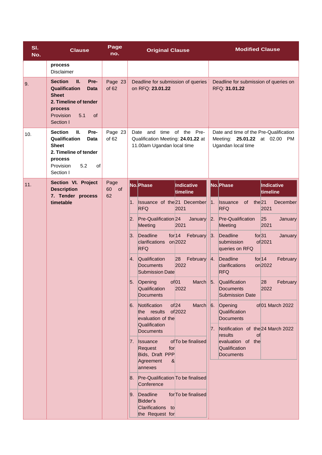| SI.<br>No. | <b>Clause</b>                                                                                                                                                  | Page<br>no.              | <b>Original Clause</b>                                                                                                | <b>Modified Clause</b>                                                                           |
|------------|----------------------------------------------------------------------------------------------------------------------------------------------------------------|--------------------------|-----------------------------------------------------------------------------------------------------------------------|--------------------------------------------------------------------------------------------------|
|            | process<br><b>Disclaimer</b>                                                                                                                                   |                          |                                                                                                                       |                                                                                                  |
| 9.         | Pre-<br><b>Section</b><br>П.<br>Qualification<br><b>Data</b><br><b>Sheet</b><br>2. Timeline of tender<br>process<br>Provision<br>5.1<br>$\circ$ f<br>Section I | Page 23<br>of 62         | Deadline for submission of queries<br>on RFQ: 23.01.22                                                                | Deadline for submission of queries on<br>RFQ: 31.01.22                                           |
| 10.        | <b>Section</b><br>Ш.<br>Pre-<br>Qualification<br>Data<br><b>Sheet</b><br>2. Timeline of tender<br>process<br>5.2<br>Provision<br>οf<br>Section I               | Page 23<br>of $62$       | time of the Pre-<br>Date and<br>Qualification Meeting: 24.01.22 at<br>11.00am Ugandan local time                      | Date and time of the Pre-Qualification<br>Meeting: 25.01.22 at 02.00<br>PM<br>Ugandan local time |
| 11.        | Section VI. Project<br><b>Description</b>                                                                                                                      | Page<br>60<br>$\circ$ of | No. Phase<br>Indicative<br>timeline                                                                                   | No. Phase<br>Indicative<br>timeline                                                              |
|            | 7. Tender process<br>timetable                                                                                                                                 | 62                       | 1.<br><b>Issuance of the 21 December</b><br><b>RFQ</b><br>2021                                                        | 1.<br>the <sub>21</sub><br>of<br>December<br><b>Issuance</b><br><b>RFQ</b><br>2021               |
|            |                                                                                                                                                                |                          | 2. Pre-Qualification 24<br>January $2$ .<br>Meeting<br>2021                                                           | 25<br><b>Pre-Qualification</b><br>January<br>2021<br>Meeting                                     |
|            |                                                                                                                                                                |                          | 3. Deadline<br>for 14<br>February $ 3.$<br>clarifications on 2022<br><b>RFQ</b>                                       | for 31<br>Deadline<br>January<br>of 2021<br>submission<br>queries on RFQ                         |
|            |                                                                                                                                                                |                          | February 4.<br>4. Qualification<br>28<br>2022<br><b>Documents</b><br><b>Submission Date</b>                           | Deadline<br>for 14<br>February<br>on 2022<br>clarifications<br><b>RFQ</b>                        |
|            |                                                                                                                                                                |                          | of 01<br>March $ 5.$<br>5. Opening<br>Qualification<br>2022<br><b>Documents</b>                                       | Qualification<br>28<br><b>February</b><br>2022<br><b>Documents</b><br><b>Submission Date</b>     |
|            |                                                                                                                                                                |                          | 6. Notification<br>$of 24$<br>March $6.$<br>of 2022<br>the results<br>evaluation of the<br>Qualification              | Opening<br>of 01 March 2022<br>Qualification<br><b>Documents</b>                                 |
|            |                                                                                                                                                                |                          | <b>Documents</b>                                                                                                      | Notification of the 24 March 2022<br>7.<br>results<br>of<br>evaluation of the                    |
|            |                                                                                                                                                                |                          | of To be finalised<br>7. <b>Issuance</b><br>Request<br>for<br>Bids, Draft PPP<br>Agreement<br>$\mathbf{g}$<br>annexes | Qualification<br><b>Documents</b>                                                                |
|            |                                                                                                                                                                |                          | 8. Pre-Qualification To be finalised<br>Conference                                                                    |                                                                                                  |
|            |                                                                                                                                                                |                          | 9. Deadline<br>for To be finalised<br>Bidder's<br>Clarifications to<br>the Request for                                |                                                                                                  |